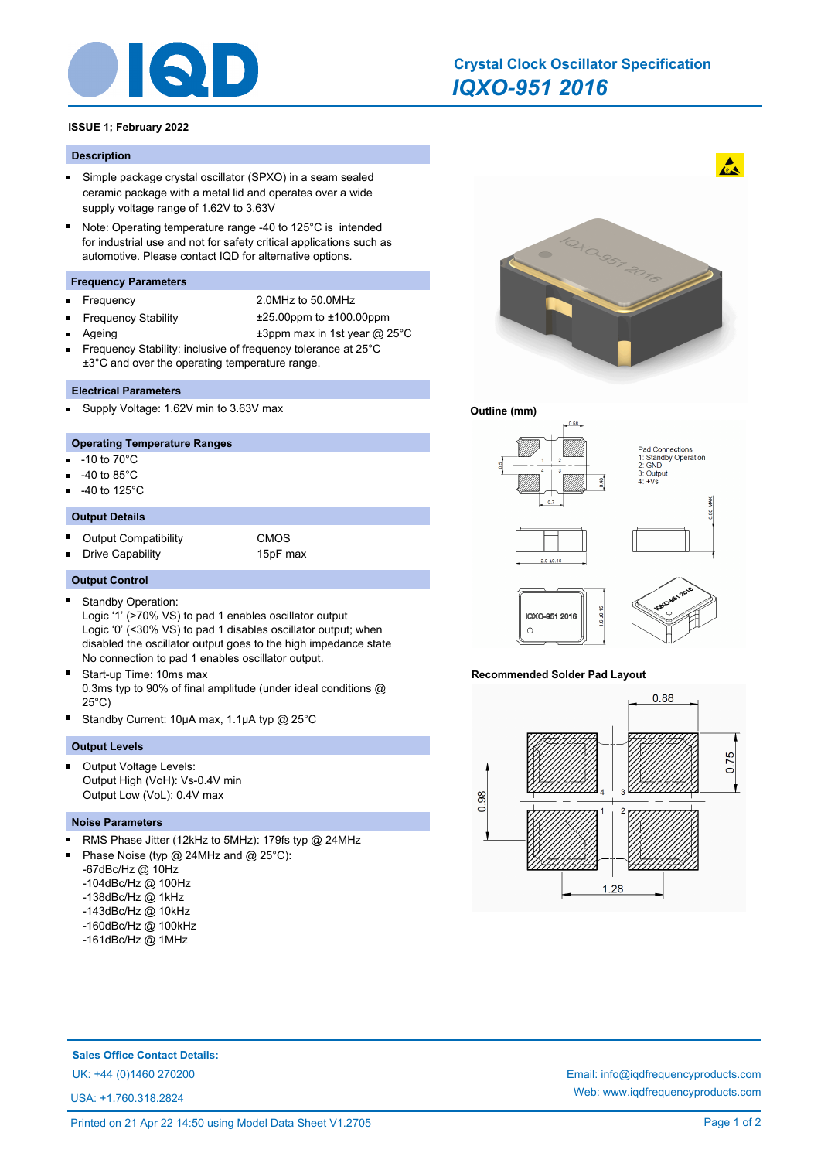

# *IQXO-951 2016* **Crystal Clock Oscillator Specification**

# **ISSUE 1; February 2022**

#### **Description**

- $\blacksquare$ Simple package crystal oscillator (SPXO) in a seam sealed ceramic package with a metal lid and operates over a wide supply voltage range of 1.62V to 3.63V
- $\blacksquare$ Note: Operating temperature range -40 to 125°C is intended for industrial use and not for safety critical applications such as automotive. Please contact IQD for alternative options.

# **Frequency Parameters**

- É
- Frequency 2.0MHz to 50.0MHz
- Ē
- Frequency Stability ±25.00ppm to ±100.00ppm
	- Ageing  $\pm 3$ ppm max in 1st year @ 25°C
- Frequency Stability: inclusive of frequency tolerance at 25°C ±3°C and over the operating temperature range.

#### **Electrical Parameters**

Supply Voltage: 1.62V min to 3.63V max

#### **Operating Temperature Ranges**

- n. -10 to 70°C
- -40 to 85°C
- -40 to 125°C

#### **Output Details**

- Ė Output Compatibility **CMOS**
- Drive Capability 15pF max E

# **Output Control**

Standby Operation: п

Logic '1' (>70% VS) to pad 1 enables oscillator output Logic '0' (<30% VS) to pad 1 disables oscillator output; when disabled the oscillator output goes to the high impedance state No connection to pad 1 enables oscillator output.

- $\blacksquare$ Start-up Time: 10ms max 0.3ms typ to 90% of final amplitude (under ideal conditions @ 25°C)
- Standby Current: 10µA max, 1.1µA typ @ 25°C

## **Output Levels**

Output Voltage Levels: Output High (VoH): Vs-0.4V min Output Low (VoL): 0.4V max

#### **Noise Parameters**

- RMS Phase Jitter (12kHz to 5MHz): 179fs typ @ 24MHz
- Phase Noise (typ @ 24MHz and @ 25°C):
- -67dBc/Hz @ 10Hz
- -104dBc/Hz @ 100Hz
- -138dBc/Hz @ 1kHz
- -143dBc/Hz @ 10kHz
- -160dBc/Hz @ 100kHz
- -161dBc/Hz @ 1MHz



 $\mathbf{A}$ 

# **Outline (mm)**



# **Recommended Solder Pad Layout**

IOXO 951 2016  $\circ$ 



**Sales Office Contact Details:**

USA: +1.760.318.2824

UK: +44 (0)1460 270200 Email: info@iqdfrequencyproducts.com Web: www.iqdfrequencyproducts.com